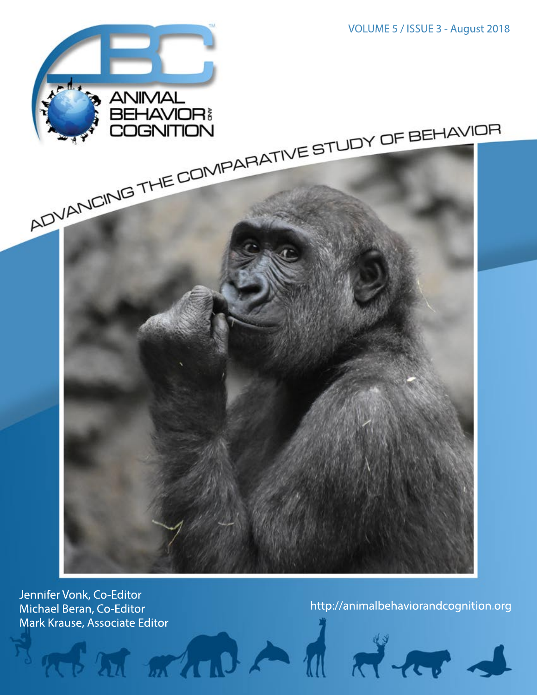

Jennifer Vonk, Co-Editor Michael Beran, Co-Editor Mark Krause, Associate Editor<br>Andreas March 1999, Andreas March 1999, Andreas March 1999, Andreas March 1999, Andreas March 1999, Andreas Ma

http://animalbehaviorandcognition.org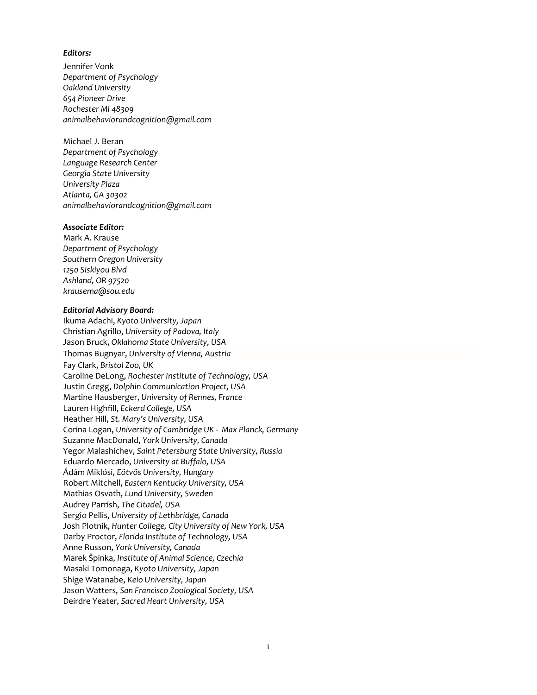### *Editors:*

Jennifer Vonk *Department of Psychology Oakland University 654 Pioneer Drive Rochester MI 48309 [animalbehaviorandcognition@gmail.com](mailto:animalbehaviorandcognition@gmail.com)*

Michael J. Beran *Department of Psychology Language Research Center Georgia State University University Plaza Atlanta, GA 30302 [animalbehaviorandcognition@gmail.com](mailto:animalbehaviorandcognition@gmail.com)*

### *Associate Editor:*

Mark A. Krause *Department of Psychology Southern Oregon University 1250 Siskiyou Blvd Ashland, OR 97520 krausema@sou.edu*

### *Editorial Advisory Board:*

Ikuma Adachi, *Kyoto University, Japan* Christian Agrillo, *University of Padova, Italy* Jason Bruck, *Oklahoma State University, USA* Thomas Bugnyar, *University of Vienna, Austria* Fay Clark, *Bristol Zoo, UK* Caroline DeLong, *Rochester Institute of Technology, USA* Justin Gregg, *Dolphin Communication Project, USA* Martine Hausberger, *University of Rennes, France* Lauren Highfill, *Eckerd College, USA* Heather Hill, *St. Mary's University, USA* Corina Logan, *University of Cambridge UK - Max Planck, Germany* Suzanne MacDonald, *York University, Canada* Yegor Malashichev, *Saint Petersburg State University, Russia* Eduardo Mercado, *University at Buffalo, USA* Ádám Miklósi, *Eötvös University, Hungary* Robert Mitchell, *Eastern Kentucky University, USA* Mathias Osvath, *Lund University, Sweden* Audrey Parrish, *The Citadel, USA* Sergio Pellis, *University of Lethbridge, Canada* Josh Plotnik, *Hunter College, City University of New York, USA*  Darby Proctor, *Florida Institute of Technology, USA* Anne Russon, *York University, Canada* Marek Špinka, *Institute of Animal Science, Czechia* Masaki Tomonaga, *Kyoto University, Japan* Shige Watanabe, *Keio University, Japan* Jason Watters, *San Francisco Zoological Society, USA* Deirdre Yeater, *Sacred Heart University, USA*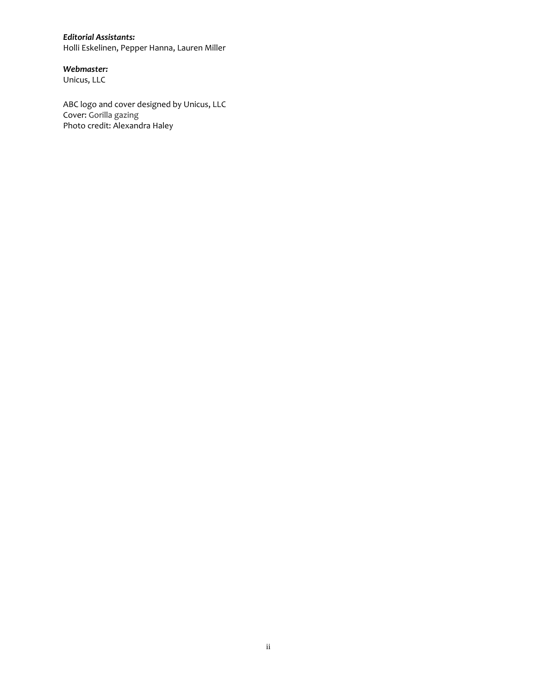### *Editorial Assistants:*

Holli Eskelinen, Pepper Hanna, Lauren Miller

### *Webmaster:*

Unicus, LLC

ABC logo and cover designed by Unicus, LLC Cover: Gorilla gazing Photo credit: Alexandra Haley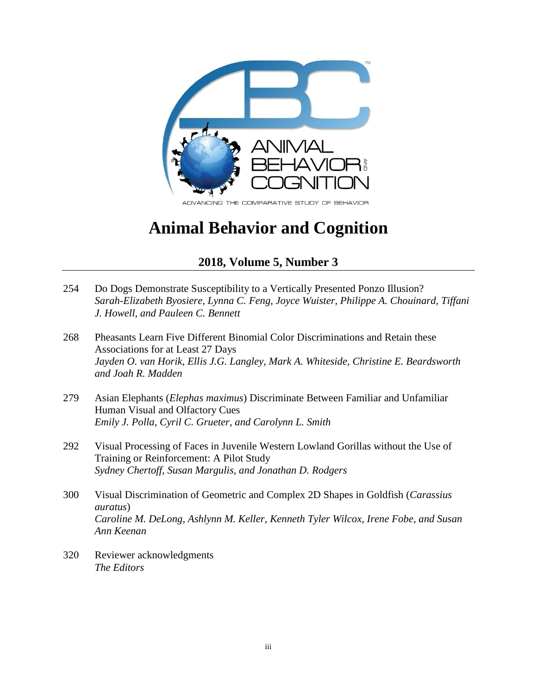

ADVANCING THE COMPARATIVE STUDY OF BEHAVIOR

# **Animal Behavior and Cognition**

## **2018, Volume 5, Number 3**

- 254 Do Dogs Demonstrate Susceptibility to a Vertically Presented Ponzo Illusion? *Sarah-Elizabeth Byosiere, Lynna C. Feng, Joyce Wuister, Philippe A. Chouinard, Tiffani J. Howell, and Pauleen C. Bennett*
- 268 Pheasants Learn Five Different Binomial Color Discriminations and Retain these Associations for at Least 27 Days *Jayden O. van Horik, Ellis J.G. Langley, Mark A. Whiteside, Christine E. Beardsworth and Joah R. Madden*
- 279 Asian Elephants (*Elephas maximus*) Discriminate Between Familiar and Unfamiliar Human Visual and Olfactory Cues *Emily J. Polla, Cyril C. Grueter, and Carolynn L. Smith*
- 292 Visual Processing of Faces in Juvenile Western Lowland Gorillas without the Use of Training or Reinforcement: A Pilot Study *Sydney Chertoff, Susan Margulis, and Jonathan D. Rodgers*
- 300 Visual Discrimination of Geometric and Complex 2D Shapes in Goldfish (*Carassius auratus*) *Caroline M. DeLong, Ashlynn M. Keller, Kenneth Tyler Wilcox, Irene Fobe, and Susan Ann Keenan*
- 320 Reviewer acknowledgments *The Editors*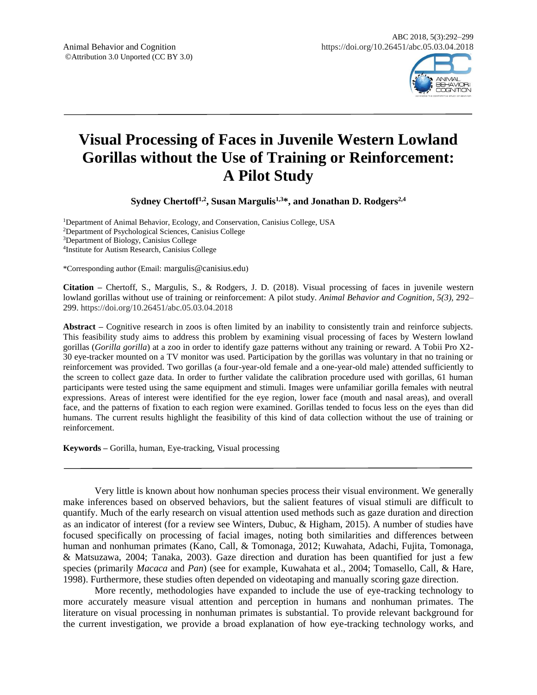

## **Visual Processing of Faces in Juvenile Western Lowland Gorillas without the Use of Training or Reinforcement: A Pilot Study**

**Sydney Chertoff1,2 , Susan Margulis1,3\*, and Jonathan D. Rodgers2,4**

Department of Animal Behavior, Ecology, and Conservation, Canisius College, USA Department of Psychological Sciences, Canisius College Department of Biology, Canisius College Institute for Autism Research, Canisius College

\*Corresponding author (Email: margulis@canisius.edu)

**Citation –** Chertoff, S., Margulis, S., & Rodgers, J. D. (2018). Visual processing of faces in juvenile western lowland gorillas without use of training or reinforcement: A pilot study. *Animal Behavior and Cognition, 5(3),* 292– 299. https://doi.org/10.26451/abc.05.03.04.2018

**Abstract –** Cognitive research in zoos is often limited by an inability to consistently train and reinforce subjects. This feasibility study aims to address this problem by examining visual processing of faces by Western lowland gorillas (*Gorilla gorilla*) at a zoo in order to identify gaze patterns without any training or reward. A Tobii Pro X2- 30 eye-tracker mounted on a TV monitor was used. Participation by the gorillas was voluntary in that no training or reinforcement was provided. Two gorillas (a four-year-old female and a one-year-old male) attended sufficiently to the screen to collect gaze data. In order to further validate the calibration procedure used with gorillas, 61 human participants were tested using the same equipment and stimuli. Images were unfamiliar gorilla females with neutral expressions. Areas of interest were identified for the eye region, lower face (mouth and nasal areas), and overall face, and the patterns of fixation to each region were examined. Gorillas tended to focus less on the eyes than did humans. The current results highlight the feasibility of this kind of data collection without the use of training or reinforcement.

**Keywords –** Gorilla, human, Eye-tracking, Visual processing

Very little is known about how nonhuman species process their visual environment. We generally make inferences based on observed behaviors, but the salient features of visual stimuli are difficult to quantify. Much of the early research on visual attention used methods such as gaze duration and direction as an indicator of interest (for a review see Winters, Dubuc, & Higham, 2015). A number of studies have focused specifically on processing of facial images, noting both similarities and differences between human and nonhuman primates (Kano, Call, & Tomonaga, 2012; Kuwahata, Adachi, Fujita, Tomonaga, & Matsuzawa, 2004; Tanaka, 2003). Gaze direction and duration has been quantified for just a few species (primarily *Macaca* and *Pan*) (see for example, Kuwahata et al., 2004; Tomasello, Call, & Hare, 1998). Furthermore, these studies often depended on videotaping and manually scoring gaze direction.

More recently, methodologies have expanded to include the use of eye-tracking technology to more accurately measure visual attention and perception in humans and nonhuman primates. The literature on visual processing in nonhuman primates is substantial. To provide relevant background for the current investigation, we provide a broad explanation of how eye-tracking technology works, and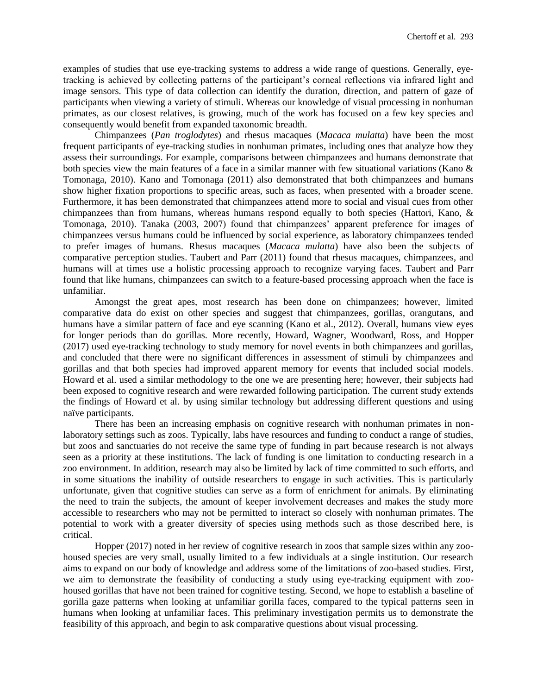examples of studies that use eye-tracking systems to address a wide range of questions. Generally, eyetracking is achieved by collecting patterns of the participant's corneal reflections via infrared light and image sensors. This type of data collection can identify the duration, direction, and pattern of gaze of participants when viewing a variety of stimuli. Whereas our knowledge of visual processing in nonhuman primates, as our closest relatives, is growing, much of the work has focused on a few key species and consequently would benefit from expanded taxonomic breadth.

Chimpanzees (*Pan troglodytes*) and rhesus macaques (*Macaca mulatta*) have been the most frequent participants of eye-tracking studies in nonhuman primates, including ones that analyze how they assess their surroundings. For example, comparisons between chimpanzees and humans demonstrate that both species view the main features of a face in a similar manner with few situational variations (Kano & Tomonaga, 2010). Kano and Tomonaga (2011) also demonstrated that both chimpanzees and humans show higher fixation proportions to specific areas, such as faces, when presented with a broader scene. Furthermore, it has been demonstrated that chimpanzees attend more to social and visual cues from other chimpanzees than from humans, whereas humans respond equally to both species (Hattori, Kano, & Tomonaga, 2010). Tanaka (2003, 2007) found that chimpanzees' apparent preference for images of chimpanzees versus humans could be influenced by social experience, as laboratory chimpanzees tended to prefer images of humans. Rhesus macaques (*Macaca mulatta*) have also been the subjects of comparative perception studies. Taubert and Parr (2011) found that rhesus macaques, chimpanzees, and humans will at times use a holistic processing approach to recognize varying faces. Taubert and Parr found that like humans, chimpanzees can switch to a feature-based processing approach when the face is unfamiliar.

Amongst the great apes, most research has been done on chimpanzees; however, limited comparative data do exist on other species and suggest that chimpanzees, gorillas, orangutans, and humans have a similar pattern of face and eye scanning (Kano et al., 2012). Overall, humans view eyes for longer periods than do gorillas. More recently, Howard, Wagner, Woodward, Ross, and Hopper (2017) used eye-tracking technology to study memory for novel events in both chimpanzees and gorillas, and concluded that there were no significant differences in assessment of stimuli by chimpanzees and gorillas and that both species had improved apparent memory for events that included social models. Howard et al. used a similar methodology to the one we are presenting here; however, their subjects had been exposed to cognitive research and were rewarded following participation. The current study extends the findings of Howard et al. by using similar technology but addressing different questions and using naïve participants.

There has been an increasing emphasis on cognitive research with nonhuman primates in nonlaboratory settings such as zoos. Typically, labs have resources and funding to conduct a range of studies, but zoos and sanctuaries do not receive the same type of funding in part because research is not always seen as a priority at these institutions. The lack of funding is one limitation to conducting research in a zoo environment. In addition, research may also be limited by lack of time committed to such efforts, and in some situations the inability of outside researchers to engage in such activities. This is particularly unfortunate, given that cognitive studies can serve as a form of enrichment for animals. By eliminating the need to train the subjects, the amount of keeper involvement decreases and makes the study more accessible to researchers who may not be permitted to interact so closely with nonhuman primates. The potential to work with a greater diversity of species using methods such as those described here, is critical.

Hopper (2017) noted in her review of cognitive research in zoos that sample sizes within any zoohoused species are very small, usually limited to a few individuals at a single institution. Our research aims to expand on our body of knowledge and address some of the limitations of zoo-based studies. First, we aim to demonstrate the feasibility of conducting a study using eye-tracking equipment with zoohoused gorillas that have not been trained for cognitive testing. Second, we hope to establish a baseline of gorilla gaze patterns when looking at unfamiliar gorilla faces, compared to the typical patterns seen in humans when looking at unfamiliar faces. This preliminary investigation permits us to demonstrate the feasibility of this approach, and begin to ask comparative questions about visual processing.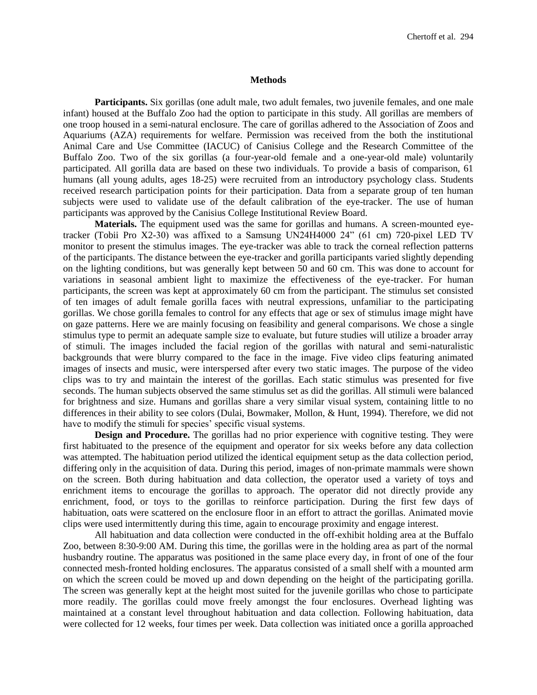#### **Methods**

**Participants.** Six gorillas (one adult male, two adult females, two juvenile females, and one male infant) housed at the Buffalo Zoo had the option to participate in this study. All gorillas are members of one troop housed in a semi-natural enclosure. The care of gorillas adhered to the Association of Zoos and Aquariums (AZA) requirements for welfare. Permission was received from the both the institutional Animal Care and Use Committee (IACUC) of Canisius College and the Research Committee of the Buffalo Zoo. Two of the six gorillas (a four-year-old female and a one-year-old male) voluntarily participated. All gorilla data are based on these two individuals. To provide a basis of comparison, 61 humans (all young adults, ages 18-25) were recruited from an introductory psychology class. Students received research participation points for their participation. Data from a separate group of ten human subjects were used to validate use of the default calibration of the eye-tracker. The use of human participants was approved by the Canisius College Institutional Review Board.

**Materials.** The equipment used was the same for gorillas and humans. A screen-mounted eyetracker (Tobii Pro X2-30) was affixed to a Samsung UN24H4000 24" (61 cm) 720-pixel LED TV monitor to present the stimulus images. The eye-tracker was able to track the corneal reflection patterns of the participants. The distance between the eye-tracker and gorilla participants varied slightly depending on the lighting conditions, but was generally kept between 50 and 60 cm. This was done to account for variations in seasonal ambient light to maximize the effectiveness of the eye-tracker. For human participants, the screen was kept at approximately 60 cm from the participant. The stimulus set consisted of ten images of adult female gorilla faces with neutral expressions, unfamiliar to the participating gorillas. We chose gorilla females to control for any effects that age or sex of stimulus image might have on gaze patterns. Here we are mainly focusing on feasibility and general comparisons. We chose a single stimulus type to permit an adequate sample size to evaluate, but future studies will utilize a broader array of stimuli. The images included the facial region of the gorillas with natural and semi-naturalistic backgrounds that were blurry compared to the face in the image. Five video clips featuring animated images of insects and music, were interspersed after every two static images. The purpose of the video clips was to try and maintain the interest of the gorillas. Each static stimulus was presented for five seconds. The human subjects observed the same stimulus set as did the gorillas. All stimuli were balanced for brightness and size. Humans and gorillas share a very similar visual system, containing little to no differences in their ability to see colors (Dulai, Bowmaker, Mollon, & Hunt, 1994). Therefore, we did not have to modify the stimuli for species' specific visual systems.

**Design and Procedure.** The gorillas had no prior experience with cognitive testing. They were first habituated to the presence of the equipment and operator for six weeks before any data collection was attempted. The habituation period utilized the identical equipment setup as the data collection period, differing only in the acquisition of data. During this period, images of non-primate mammals were shown on the screen. Both during habituation and data collection, the operator used a variety of toys and enrichment items to encourage the gorillas to approach. The operator did not directly provide any enrichment, food, or toys to the gorillas to reinforce participation. During the first few days of habituation, oats were scattered on the enclosure floor in an effort to attract the gorillas. Animated movie clips were used intermittently during this time, again to encourage proximity and engage interest.

All habituation and data collection were conducted in the off-exhibit holding area at the Buffalo Zoo, between 8:30-9:00 AM. During this time, the gorillas were in the holding area as part of the normal husbandry routine. The apparatus was positioned in the same place every day, in front of one of the four connected mesh-fronted holding enclosures. The apparatus consisted of a small shelf with a mounted arm on which the screen could be moved up and down depending on the height of the participating gorilla. The screen was generally kept at the height most suited for the juvenile gorillas who chose to participate more readily. The gorillas could move freely amongst the four enclosures. Overhead lighting was maintained at a constant level throughout habituation and data collection. Following habituation, data were collected for 12 weeks, four times per week. Data collection was initiated once a gorilla approached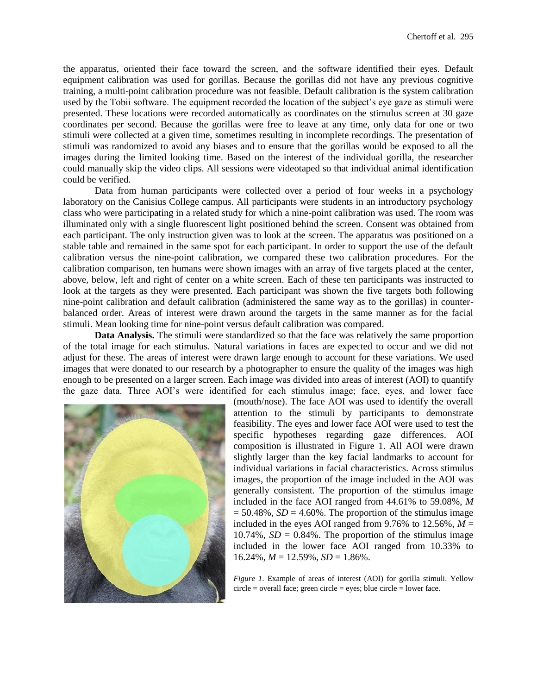the apparatus, oriented their face toward the screen, and the software identified their eyes. Default equipment calibration was used for gorillas. Because the gorillas did not have any previous cognitive training, a multi-point calibration procedure was not feasible. Default calibration is the system calibration used by the Tobii software. The equipment recorded the location of the subject's eye gaze as stimuli were presented. These locations were recorded automatically as coordinates on the stimulus screen at 30 gaze coordinates per second. Because the gorillas were free to leave at any time, only data for one or two stimuli were collected at a given time, sometimes resulting in incomplete recordings. The presentation of stimuli was randomized to avoid any biases and to ensure that the gorillas would be exposed to all the images during the limited looking time. Based on the interest of the individual gorilla, the researcher could manually skip the video clips. All sessions were videotaped so that individual animal identification could be verified.

Data from human participants were collected over a period of four weeks in a psychology laboratory on the Canisius College campus. All participants were students in an introductory psychology class who were participating in a related study for which a nine-point calibration was used. The room was illuminated only with a single fluorescent light positioned behind the screen. Consent was obtained from each participant. The only instruction given was to look at the screen. The apparatus was positioned on a stable table and remained in the same spot for each participant. In order to support the use of the default calibration versus the nine-point calibration, we compared these two calibration procedures. For the calibration comparison, ten humans were shown images with an array of five targets placed at the center, above, below, left and right of center on a white screen. Each of these ten participants was instructed to look at the targets as they were presented. Each participant was shown the five targets both following nine-point calibration and default calibration (administered the same way as to the gorillas) in counterbalanced order. Areas of interest were drawn around the targets in the same manner as for the facial stimuli. Mean looking time for nine-point versus default calibration was compared.

**Data Analysis.** The stimuli were standardized so that the face was relatively the same proportion of the total image for each stimulus. Natural variations in faces are expected to occur and we did not adjust for these. The areas of interest were drawn large enough to account for these variations. We used images that were donated to our research by a photographer to ensure the quality of the images was high enough to be presented on a larger screen. Each image was divided into areas of interest (AOI) to quantify the gaze data. Three AOI's were identified for each stimulus image; face, eyes, and lower face



(mouth/nose). The face AOI was used to identify the overall attention to the stimuli by participants to demonstrate feasibility. The eyes and lower face AOI were used to test the specific hypotheses regarding gaze differences. AOI composition is illustrated in Figure 1. All AOI were drawn slightly larger than the key facial landmarks to account for individual variations in facial characteristics. Across stimulus images, the proportion of the image included in the AOI was generally consistent. The proportion of the stimulus image included in the face AOI ranged from 44.61% to 59.08%, *M*  $= 50.48\%$ , *SD* = 4.60%. The proportion of the stimulus image included in the eyes AOI ranged from 9.76% to 12.56%,  $M =$ 10.74%,  $SD = 0.84\%$ . The proportion of the stimulus image included in the lower face AOI ranged from 10.33% to  $16.24\%, M = 12.59\%, SD = 1.86\%$ .

*Figure 1*. Example of areas of interest (AOI) for gorilla stimuli. Yellow  $circle = overall face$ ; green circle = eyes; blue circle = lower face.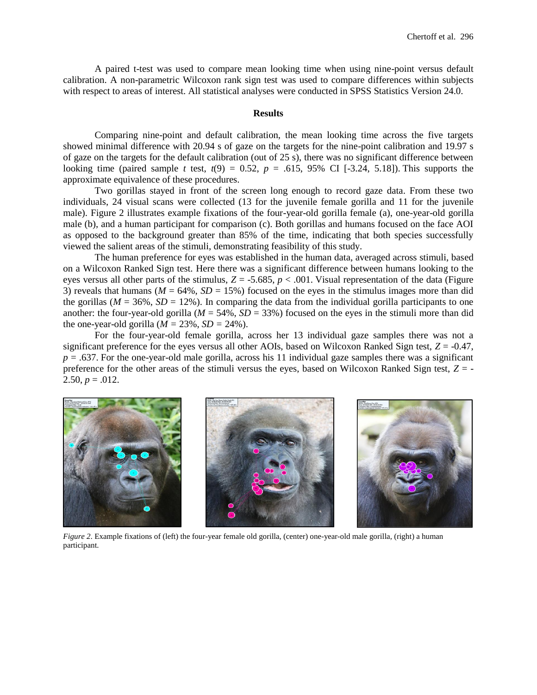A paired t-test was used to compare mean looking time when using nine-point versus default calibration. A non-parametric Wilcoxon rank sign test was used to compare differences within subjects with respect to areas of interest. All statistical analyses were conducted in SPSS Statistics Version 24.0.

### **Results**

Comparing nine-point and default calibration, the mean looking time across the five targets showed minimal difference with 20.94 s of gaze on the targets for the nine-point calibration and 19.97 s of gaze on the targets for the default calibration (out of 25 s), there was no significant difference between looking time (paired sample *t* test,  $t(9) = 0.52$ ,  $p = .615$ , 95% CI [-3.24, 5.18]). This supports the approximate equivalence of these procedures.

Two gorillas stayed in front of the screen long enough to record gaze data. From these two individuals, 24 visual scans were collected (13 for the juvenile female gorilla and 11 for the juvenile male). Figure 2 illustrates example fixations of the four-year-old gorilla female (a), one-year-old gorilla male (b), and a human participant for comparison (c). Both gorillas and humans focused on the face AOI as opposed to the background greater than 85% of the time, indicating that both species successfully viewed the salient areas of the stimuli, demonstrating feasibility of this study.

The human preference for eyes was established in the human data, averaged across stimuli, based on a Wilcoxon Ranked Sign test. Here there was a significant difference between humans looking to the eyes versus all other parts of the stimulus,  $Z = -5.685$ ,  $p < .001$ . Visual representation of the data (Figure 3) reveals that humans ( $M = 64\%$ ,  $SD = 15\%$ ) focused on the eyes in the stimulus images more than did the gorillas ( $M = 36\%$ ,  $SD = 12\%$ ). In comparing the data from the individual gorilla participants to one another: the four-year-old gorilla ( $M = 54\%$ ,  $SD = 33\%$ ) focused on the eyes in the stimuli more than did the one-year-old gorilla ( $M = 23\%$ ,  $SD = 24\%$ ).

For the four-year-old female gorilla, across her 13 individual gaze samples there was not a significant preference for the eyes versus all other AOIs, based on Wilcoxon Ranked Sign test, *Z* = -0.47,  $p = 0.637$ . For the one-year-old male gorilla, across his 11 individual gaze samples there was a significant preference for the other areas of the stimuli versus the eyes, based on Wilcoxon Ranked Sign test, *Z* = - 2.50,  $p = .012$ .



*Figure 2*. Example fixations of (left) the four-year female old gorilla, (center) one-year-old male gorilla, (right) a human participant.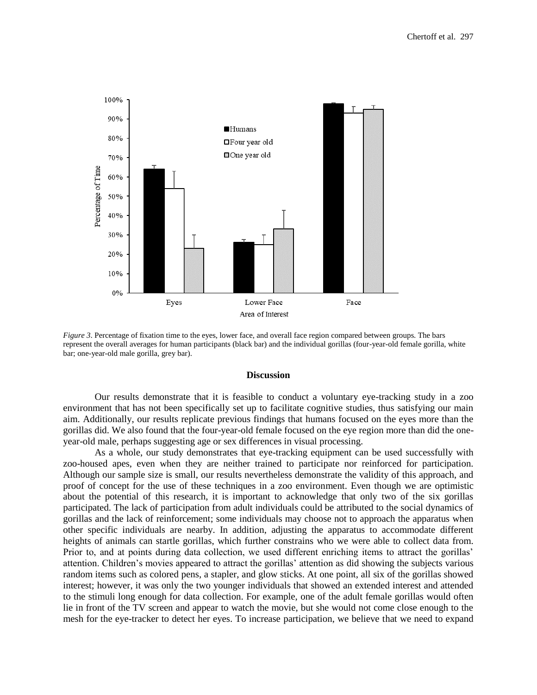

*Figure 3*. Percentage of fixation time to the eyes, lower face, and overall face region compared between groups. The bars represent the overall averages for human participants (black bar) and the individual gorillas (four-year-old female gorilla, white bar; one-year-old male gorilla, grey bar).

### **Discussion**

Our results demonstrate that it is feasible to conduct a voluntary eye-tracking study in a zoo environment that has not been specifically set up to facilitate cognitive studies, thus satisfying our main aim. Additionally, our results replicate previous findings that humans focused on the eyes more than the gorillas did. We also found that the four-year-old female focused on the eye region more than did the oneyear-old male, perhaps suggesting age or sex differences in visual processing.

As a whole, our study demonstrates that eye-tracking equipment can be used successfully with zoo-housed apes, even when they are neither trained to participate nor reinforced for participation. Although our sample size is small, our results nevertheless demonstrate the validity of this approach, and proof of concept for the use of these techniques in a zoo environment. Even though we are optimistic about the potential of this research, it is important to acknowledge that only two of the six gorillas participated. The lack of participation from adult individuals could be attributed to the social dynamics of gorillas and the lack of reinforcement; some individuals may choose not to approach the apparatus when other specific individuals are nearby. In addition, adjusting the apparatus to accommodate different heights of animals can startle gorillas, which further constrains who we were able to collect data from. Prior to, and at points during data collection, we used different enriching items to attract the gorillas' attention. Children's movies appeared to attract the gorillas' attention as did showing the subjects various random items such as colored pens, a stapler, and glow sticks. At one point, all six of the gorillas showed interest; however, it was only the two younger individuals that showed an extended interest and attended to the stimuli long enough for data collection. For example, one of the adult female gorillas would often lie in front of the TV screen and appear to watch the movie, but she would not come close enough to the mesh for the eye-tracker to detect her eyes. To increase participation, we believe that we need to expand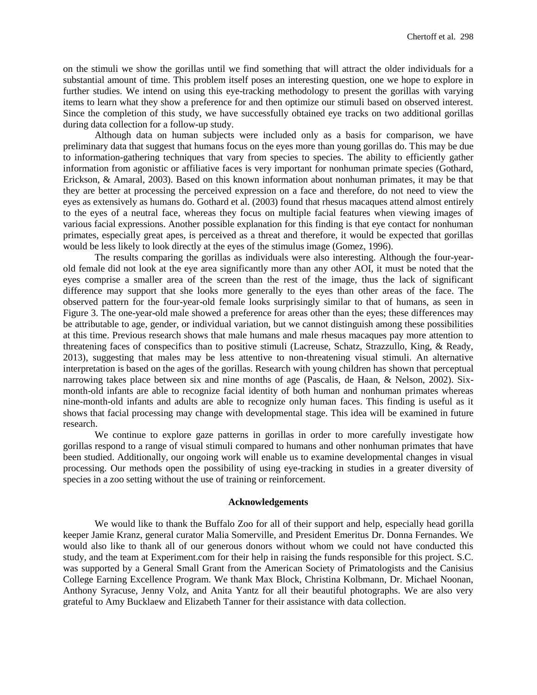on the stimuli we show the gorillas until we find something that will attract the older individuals for a substantial amount of time. This problem itself poses an interesting question, one we hope to explore in further studies. We intend on using this eye-tracking methodology to present the gorillas with varying items to learn what they show a preference for and then optimize our stimuli based on observed interest. Since the completion of this study, we have successfully obtained eye tracks on two additional gorillas during data collection for a follow-up study.

Although data on human subjects were included only as a basis for comparison, we have preliminary data that suggest that humans focus on the eyes more than young gorillas do. This may be due to information-gathering techniques that vary from species to species. The ability to efficiently gather information from agonistic or affiliative faces is very important for nonhuman primate species (Gothard, Erickson, & Amaral, 2003). Based on this known information about nonhuman primates, it may be that they are better at processing the perceived expression on a face and therefore, do not need to view the eyes as extensively as humans do. Gothard et al. (2003) found that rhesus macaques attend almost entirely to the eyes of a neutral face, whereas they focus on multiple facial features when viewing images of various facial expressions. Another possible explanation for this finding is that eye contact for nonhuman primates, especially great apes, is perceived as a threat and therefore, it would be expected that gorillas would be less likely to look directly at the eyes of the stimulus image (Gomez, 1996).

The results comparing the gorillas as individuals were also interesting. Although the four-yearold female did not look at the eye area significantly more than any other AOI, it must be noted that the eyes comprise a smaller area of the screen than the rest of the image, thus the lack of significant difference may support that she looks more generally to the eyes than other areas of the face. The observed pattern for the four-year-old female looks surprisingly similar to that of humans, as seen in Figure 3. The one-year-old male showed a preference for areas other than the eyes; these differences may be attributable to age, gender, or individual variation, but we cannot distinguish among these possibilities at this time. Previous research shows that male humans and male rhesus macaques pay more attention to threatening faces of conspecifics than to positive stimuli (Lacreuse, Schatz, Strazzullo, King, & Ready, 2013), suggesting that males may be less attentive to non-threatening visual stimuli. An alternative interpretation is based on the ages of the gorillas. Research with young children has shown that perceptual narrowing takes place between six and nine months of age (Pascalis, de Haan, & Nelson, 2002). Sixmonth-old infants are able to recognize facial identity of both human and nonhuman primates whereas nine-month-old infants and adults are able to recognize only human faces. This finding is useful as it shows that facial processing may change with developmental stage. This idea will be examined in future research.

We continue to explore gaze patterns in gorillas in order to more carefully investigate how gorillas respond to a range of visual stimuli compared to humans and other nonhuman primates that have been studied. Additionally, our ongoing work will enable us to examine developmental changes in visual processing. Our methods open the possibility of using eye-tracking in studies in a greater diversity of species in a zoo setting without the use of training or reinforcement.

### **Acknowledgements**

We would like to thank the Buffalo Zoo for all of their support and help, especially head gorilla keeper Jamie Kranz, general curator Malia Somerville, and President Emeritus Dr. Donna Fernandes. We would also like to thank all of our generous donors without whom we could not have conducted this study, and the team at Experiment.com for their help in raising the funds responsible for this project. S.C. was supported by a General Small Grant from the American Society of Primatologists and the Canisius College Earning Excellence Program. We thank Max Block, Christina Kolbmann, Dr. Michael Noonan, Anthony Syracuse, Jenny Volz, and Anita Yantz for all their beautiful photographs. We are also very grateful to Amy Bucklaew and Elizabeth Tanner for their assistance with data collection.